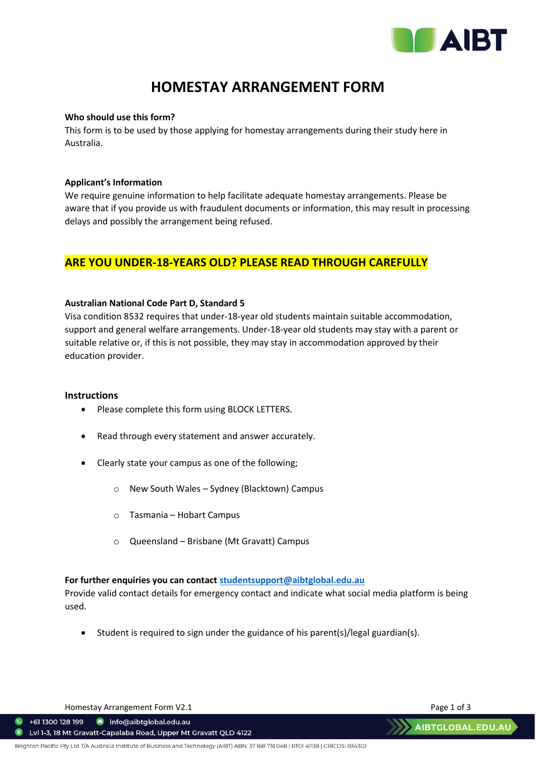

# **HOMESTAY ARRANGEMENT FORM**

#### **Who should use this form?**

This form is to be used by those applying for homestay arrangements during their study here in Australia.

#### **Applicant's Information**

We require genuine information to help facilitate adequate homestay arrangements. Please be aware that if you provide us with fraudulent documents or information, this may result in processing delays and possibly the arrangement being refused.

### **ARE YOU UNDER-18-YEARS OLD? PLEASE READ THROUGH CAREFULLY**

#### **Australian National Code Part D, Standard 5**

Visa condition 8532 requires that under-18-year old students maintain suitable accommodation, support and general welfare arrangements. Under-18-year old students may stay with a parent or suitable relative or, if this is not possible, they may stay in accommodation approved by their education provider.

#### **Instructions**

- Please complete this form using BLOCK LETTERS.
- Read through every statement and answer accurately.
- Clearly state your campus as one of the following;
	- o New South Wales Sydney (Blacktown) Campus
	- o Tasmania Hobart Campus
	- o Queensland Brisbane (Mt Gravatt) Campus

#### **For further enquiries you can contact [studentsupport@aibtglobal.edu.au](mailto:studentsupport@aibtglobal.edu.au)**

Provide valid contact details for emergency contact and indicate what social media platform is being used.

• Student is required to sign under the guidance of his parent(s)/legal guardian(s).

Homestay Arrangement Form V2.1 and the state of 3 and 2011 and 2012 and 2013

 $\bullet$  +61 1300 128 199 nfo@aibtglobal.edu.au

Lvl 1-3, 18 Mt Gravatt-Capalaba Road, Upper Mt Gravatt QLD 4122  $\bullet$ 

**AIBTGLOBAL.EDU.AL**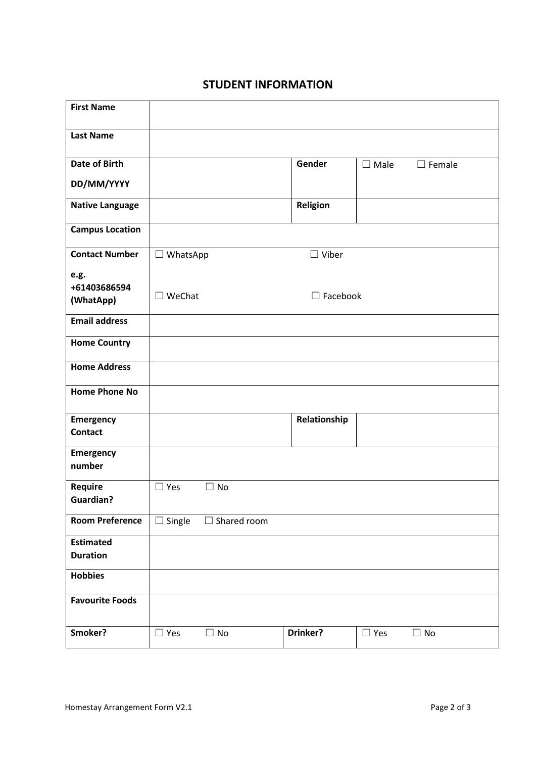## **STUDENT INFORMATION**

| <b>First Name</b>                   |                                     |                    |                 |                |               |
|-------------------------------------|-------------------------------------|--------------------|-----------------|----------------|---------------|
| <b>Last Name</b>                    |                                     |                    |                 |                |               |
| <b>Date of Birth</b>                |                                     |                    | Gender          | $\square$ Male | $\Box$ Female |
| DD/MM/YYYY                          |                                     |                    |                 |                |               |
| <b>Native Language</b>              |                                     |                    | Religion        |                |               |
| <b>Campus Location</b>              |                                     |                    |                 |                |               |
| <b>Contact Number</b>               | $\Box$ WhatsApp                     |                    | $\Box$ Viber    |                |               |
| e.g.<br>+61403686594<br>(WhatApp)   | $\square$ WeChat<br>$\Box$ Facebook |                    |                 |                |               |
| <b>Email address</b>                |                                     |                    |                 |                |               |
| <b>Home Country</b>                 |                                     |                    |                 |                |               |
| <b>Home Address</b>                 |                                     |                    |                 |                |               |
| <b>Home Phone No</b>                |                                     |                    |                 |                |               |
| Emergency<br><b>Contact</b>         |                                     |                    | Relationship    |                |               |
| Emergency<br>number                 |                                     |                    |                 |                |               |
| Require<br><b>Guardian?</b>         | $\Box$ Yes                          | $\Box$ No          |                 |                |               |
| <b>Room Preference</b>              | $\Box$ Single                       | $\Box$ Shared room |                 |                |               |
| <b>Estimated</b><br><b>Duration</b> |                                     |                    |                 |                |               |
| <b>Hobbies</b>                      |                                     |                    |                 |                |               |
| <b>Favourite Foods</b>              |                                     |                    |                 |                |               |
| Smoker?                             | $\Box$ Yes                          | $\Box$ No          | <b>Drinker?</b> | $\Box$ Yes     | $\square$ No  |